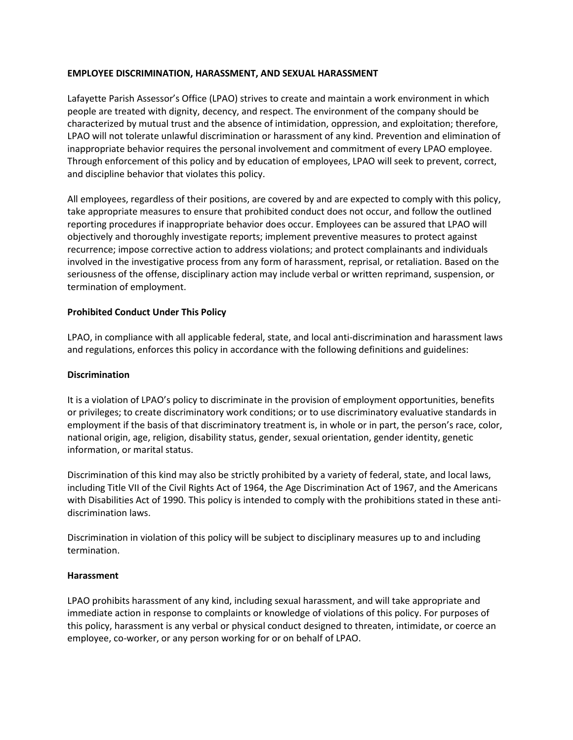## **EMPLOYEE DISCRIMINATION, HARASSMENT, AND SEXUAL HARASSMENT**

Lafayette Parish Assessor's Office (LPAO) strives to create and maintain a work environment in which people are treated with dignity, decency, and respect. The environment of the company should be characterized by mutual trust and the absence of intimidation, oppression, and exploitation; therefore, LPAO will not tolerate unlawful discrimination or harassment of any kind. Prevention and elimination of inappropriate behavior requires the personal involvement and commitment of every LPAO employee. Through enforcement of this policy and by education of employees, LPAO will seek to prevent, correct, and discipline behavior that violates this policy.

All employees, regardless of their positions, are covered by and are expected to comply with this policy, take appropriate measures to ensure that prohibited conduct does not occur, and follow the outlined reporting procedures if inappropriate behavior does occur. Employees can be assured that LPAO will objectively and thoroughly investigate reports; implement preventive measures to protect against recurrence; impose corrective action to address violations; and protect complainants and individuals involved in the investigative process from any form of harassment, reprisal, or retaliation. Based on the seriousness of the offense, disciplinary action may include verbal or written reprimand, suspension, or termination of employment.

### **Prohibited Conduct Under This Policy**

LPAO, in compliance with all applicable federal, state, and local anti-discrimination and harassment laws and regulations, enforces this policy in accordance with the following definitions and guidelines:

## **Discrimination**

It is a violation of LPAO's policy to discriminate in the provision of employment opportunities, benefits or privileges; to create discriminatory work conditions; or to use discriminatory evaluative standards in employment if the basis of that discriminatory treatment is, in whole or in part, the person's race, color, national origin, age, religion, disability status, gender, sexual orientation, gender identity, genetic information, or marital status.

Discrimination of this kind may also be strictly prohibited by a variety of federal, state, and local laws, including Title VII of the Civil Rights Act of 1964, the Age Discrimination Act of 1967, and the Americans with Disabilities Act of 1990. This policy is intended to comply with the prohibitions stated in these antidiscrimination laws.

Discrimination in violation of this policy will be subject to disciplinary measures up to and including termination.

### **Harassment**

LPAO prohibits harassment of any kind, including sexual harassment, and will take appropriate and immediate action in response to complaints or knowledge of violations of this policy. For purposes of this policy, harassment is any verbal or physical conduct designed to threaten, intimidate, or coerce an employee, co-worker, or any person working for or on behalf of LPAO.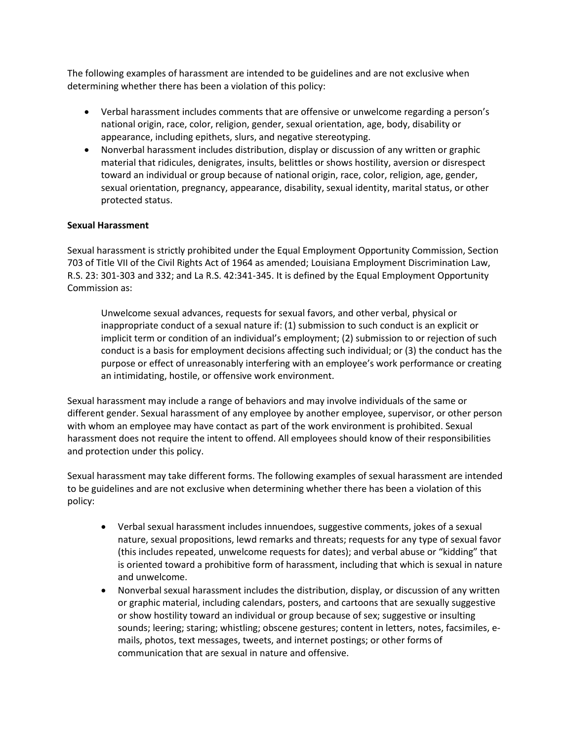The following examples of harassment are intended to be guidelines and are not exclusive when determining whether there has been a violation of this policy:

- Verbal harassment includes comments that are offensive or unwelcome regarding a person's national origin, race, color, religion, gender, sexual orientation, age, body, disability or appearance, including epithets, slurs, and negative stereotyping.
- Nonverbal harassment includes distribution, display or discussion of any written or graphic material that ridicules, denigrates, insults, belittles or shows hostility, aversion or disrespect toward an individual or group because of national origin, race, color, religion, age, gender, sexual orientation, pregnancy, appearance, disability, sexual identity, marital status, or other protected status.

### **Sexual Harassment**

Sexual harassment is strictly prohibited under the Equal Employment Opportunity Commission, Section 703 of Title VII of the Civil Rights Act of 1964 as amended; Louisiana Employment Discrimination Law, R.S. 23: 301-303 and 332; and La R.S. 42:341-345. It is defined by the Equal Employment Opportunity Commission as:

Unwelcome sexual advances, requests for sexual favors, and other verbal, physical or inappropriate conduct of a sexual nature if: (1) submission to such conduct is an explicit or implicit term or condition of an individual's employment; (2) submission to or rejection of such conduct is a basis for employment decisions affecting such individual; or (3) the conduct has the purpose or effect of unreasonably interfering with an employee's work performance or creating an intimidating, hostile, or offensive work environment.

Sexual harassment may include a range of behaviors and may involve individuals of the same or different gender. Sexual harassment of any employee by another employee, supervisor, or other person with whom an employee may have contact as part of the work environment is prohibited. Sexual harassment does not require the intent to offend. All employees should know of their responsibilities and protection under this policy.

Sexual harassment may take different forms. The following examples of sexual harassment are intended to be guidelines and are not exclusive when determining whether there has been a violation of this policy:

- Verbal sexual harassment includes innuendoes, suggestive comments, jokes of a sexual nature, sexual propositions, lewd remarks and threats; requests for any type of sexual favor (this includes repeated, unwelcome requests for dates); and verbal abuse or "kidding" that is oriented toward a prohibitive form of harassment, including that which is sexual in nature and unwelcome.
- Nonverbal sexual harassment includes the distribution, display, or discussion of any written or graphic material, including calendars, posters, and cartoons that are sexually suggestive or show hostility toward an individual or group because of sex; suggestive or insulting sounds; leering; staring; whistling; obscene gestures; content in letters, notes, facsimiles, emails, photos, text messages, tweets, and internet postings; or other forms of communication that are sexual in nature and offensive.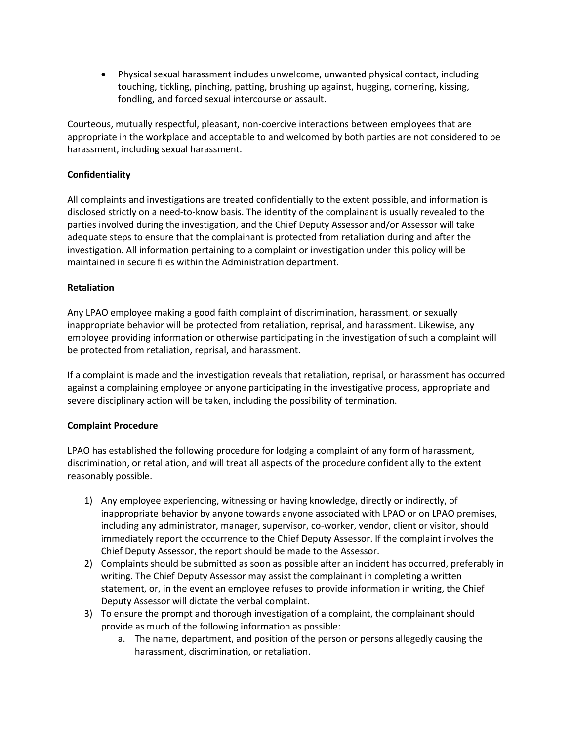Physical sexual harassment includes unwelcome, unwanted physical contact, including touching, tickling, pinching, patting, brushing up against, hugging, cornering, kissing, fondling, and forced sexual intercourse or assault.

Courteous, mutually respectful, pleasant, non-coercive interactions between employees that are appropriate in the workplace and acceptable to and welcomed by both parties are not considered to be harassment, including sexual harassment.

## **Confidentiality**

All complaints and investigations are treated confidentially to the extent possible, and information is disclosed strictly on a need-to-know basis. The identity of the complainant is usually revealed to the parties involved during the investigation, and the Chief Deputy Assessor and/or Assessor will take adequate steps to ensure that the complainant is protected from retaliation during and after the investigation. All information pertaining to a complaint or investigation under this policy will be maintained in secure files within the Administration department.

### **Retaliation**

Any LPAO employee making a good faith complaint of discrimination, harassment, or sexually inappropriate behavior will be protected from retaliation, reprisal, and harassment. Likewise, any employee providing information or otherwise participating in the investigation of such a complaint will be protected from retaliation, reprisal, and harassment.

If a complaint is made and the investigation reveals that retaliation, reprisal, or harassment has occurred against a complaining employee or anyone participating in the investigative process, appropriate and severe disciplinary action will be taken, including the possibility of termination.

### **Complaint Procedure**

LPAO has established the following procedure for lodging a complaint of any form of harassment, discrimination, or retaliation, and will treat all aspects of the procedure confidentially to the extent reasonably possible.

- 1) Any employee experiencing, witnessing or having knowledge, directly or indirectly, of inappropriate behavior by anyone towards anyone associated with LPAO or on LPAO premises, including any administrator, manager, supervisor, co-worker, vendor, client or visitor, should immediately report the occurrence to the Chief Deputy Assessor. If the complaint involves the Chief Deputy Assessor, the report should be made to the Assessor.
- 2) Complaints should be submitted as soon as possible after an incident has occurred, preferably in writing. The Chief Deputy Assessor may assist the complainant in completing a written statement, or, in the event an employee refuses to provide information in writing, the Chief Deputy Assessor will dictate the verbal complaint.
- 3) To ensure the prompt and thorough investigation of a complaint, the complainant should provide as much of the following information as possible:
	- a. The name, department, and position of the person or persons allegedly causing the harassment, discrimination, or retaliation.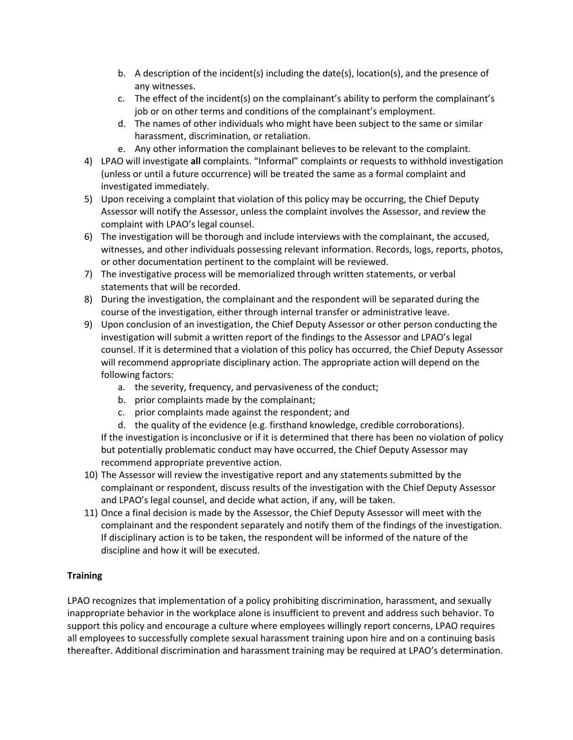- b. A description of the incident(s) including the date(s), location(s), and the presence of any witnesses.
- c. The effect of the incident(s) on the complainant's ability to perform the complainant's job or on other terms and conditions of the complainant's employment.
- d. The names of other individuals who might have been subject to the same or similar harassment, discrimination, or retaliation.
- e. Any other information the complainant believes to be relevant to the complaint.
- 4) LPAO will investigate **all** complaints. "Informal" complaints or requests to withhold investigation (unless or until a future occurrence) will be treated the same as a formal complaint and investigated immediately.
- 5) Upon receiving a complaint that violation of this policy may be occurring, the Chief Deputy Assessor will notify the Assessor, unless the complaint involves the Assessor, and review the complaint with LPAO's legal counsel.
- 6) The investigation will be thorough and include interviews with the complainant, the accused, witnesses, and other individuals possessing relevant information. Records, logs, reports, photos, or other documentation pertinent to the complaint will be reviewed.
- 7) The investigative process will be memorialized through written statements, or verbal statements that will be recorded.
- 8) During the investigation, the complainant and the respondent will be separated during the course of the investigation, either through internal transfer or administrative leave.
- 9) Upon conclusion of an investigation, the Chief Deputy Assessor or other person conducting the investigation will submit a written report of the findings to the Assessor and LPAO's legal counsel. If it is determined that a violation of this policy has occurred, the Chief Deputy Assessor will recommend appropriate disciplinary action. The appropriate action will depend on the following factors:
	- a. the severity, frequency, and pervasiveness of the conduct;
	- b. prior complaints made by the complainant;
	- c. prior complaints made against the respondent; and
	- d. the quality of the evidence (e.g. firsthand knowledge, credible corroborations).

If the investigation is inconclusive or if it is determined that there has been no violation of policy but potentially problematic conduct may have occurred, the Chief Deputy Assessor may recommend appropriate preventive action.

- 10) The Assessor will review the investigative report and any statements submitted by the complainant or respondent, discuss results of the investigation with the Chief Deputy Assessor and LPAO's legal counsel, and decide what action, if any, will be taken.
- 11) Once a final decision is made by the Assessor, the Chief Deputy Assessor will meet with the complainant and the respondent separately and notify them of the findings of the investigation. If disciplinary action is to be taken, the respondent will be informed of the nature of the discipline and how it will be executed.

# **Training**

LPAO recognizes that implementation of a policy prohibiting discrimination, harassment, and sexually inappropriate behavior in the workplace alone is insufficient to prevent and address such behavior. To support this policy and encourage a culture where employees willingly report concerns, LPAO requires all employees to successfully complete sexual harassment training upon hire and on a continuing basis thereafter. Additional discrimination and harassment training may be required at LPAO's determination.